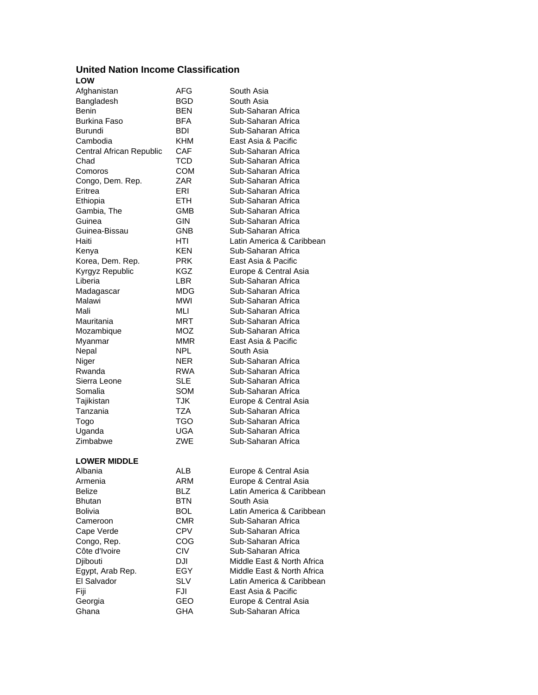## **United Nation Income Classification LOW**

| Afghanistan              | AFG        | South Asia                               |
|--------------------------|------------|------------------------------------------|
| Bangladesh               | BGD        | South Asia                               |
| Benin                    | <b>BEN</b> | Sub-Saharan Africa                       |
| <b>Burkina Faso</b>      | BFA        | Sub-Saharan Africa                       |
| <b>Burundi</b>           | <b>BDI</b> | Sub-Saharan Africa                       |
| Cambodia                 | KHM        | East Asia & Pacific                      |
| Central African Republic | <b>CAF</b> | Sub-Saharan Africa                       |
| Chad                     | TCD        | Sub-Saharan Africa                       |
| Comoros                  | COM        | Sub-Saharan Africa                       |
| Congo, Dem. Rep.         | ZAR        | Sub-Saharan Africa                       |
| Eritrea                  | ERI        | Sub-Saharan Africa                       |
| Ethiopia                 | ETH.       | Sub-Saharan Africa                       |
| Gambia, The              | GMB        | Sub-Saharan Africa                       |
| Guinea                   | <b>GIN</b> | Sub-Saharan Africa                       |
| Guinea-Bissau            | GNB        | Sub-Saharan Africa                       |
| Haiti                    | HTI        | Latin America & Caribbean                |
| Kenya                    | KEN        | Sub-Saharan Africa                       |
| Korea, Dem. Rep.         | <b>PRK</b> | East Asia & Pacific                      |
| Kyrgyz Republic          | KGZ        | Europe & Central Asia                    |
| Liberia                  | LBR.       | Sub-Saharan Africa                       |
|                          | MDG        | Sub-Saharan Africa                       |
| Madagascar<br>Malawi     | <b>MWI</b> |                                          |
|                          | MLI        | Sub-Saharan Africa                       |
| Mali<br>Mauritania       |            | Sub-Saharan Africa<br>Sub-Saharan Africa |
|                          | MRT        | Sub-Saharan Africa                       |
| Mozambique               | MOZ        | East Asia & Pacific                      |
| Myanmar                  | <b>MMR</b> |                                          |
| Nepal                    | <b>NPL</b> | South Asia                               |
| Niger                    | NER        | Sub-Saharan Africa                       |
| Rwanda                   | RWA        | Sub-Saharan Africa                       |
| Sierra Leone             | <b>SLE</b> | Sub-Saharan Africa                       |
| Somalia                  | SOM        | Sub-Saharan Africa                       |
| Tajikistan               | <b>TJK</b> | Europe & Central Asia                    |
| Tanzania                 | TZA        | Sub-Saharan Africa                       |
| Togo                     | TGO        | Sub-Saharan Africa                       |
| Uganda                   | UGA        | Sub-Saharan Africa                       |
| Zimbabwe                 | ZWE        | Sub-Saharan Africa                       |
| <b>LOWER MIDDLE</b>      |            |                                          |
| Albania                  | ALB        | Europe & Central Asia                    |
| Armenia                  | ARM        | Europe & Central Asia                    |
| <b>Belize</b>            | BLZ        | Latin America & Caribbean                |
| <b>Bhutan</b>            | <b>BTN</b> | South Asia                               |
| <b>Bolivia</b>           | <b>BOL</b> | Latin America & Caribbean                |
| Cameroon                 | <b>CMR</b> | Sub-Saharan Africa                       |
| Cape Verde               | <b>CPV</b> | Sub-Saharan Africa                       |
| Congo, Rep.              | COG        | Sub-Saharan Africa                       |
| Côte d'Ivoire            | <b>CIV</b> | Sub-Saharan Africa                       |
| Djibouti                 | <b>DJI</b> | Middle East & North Africa               |
| Egypt, Arab Rep.         | EGY        | Middle East & North Africa               |
| El Salvador              | <b>SLV</b> | Latin America & Caribbean                |
| Fiji                     | FJI        | East Asia & Pacific                      |
| Georgia                  | GEO        | Europe & Central Asia                    |
| Ghana                    | GHA        | Sub-Saharan Africa                       |